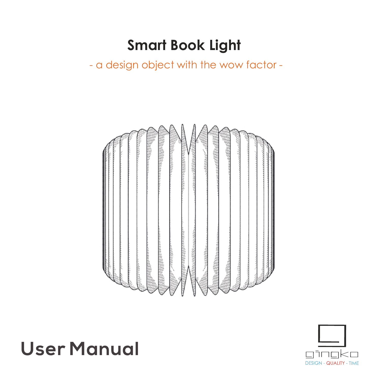## **Smart Book Light**

- a design object with the wow factor -



# **User Manual**

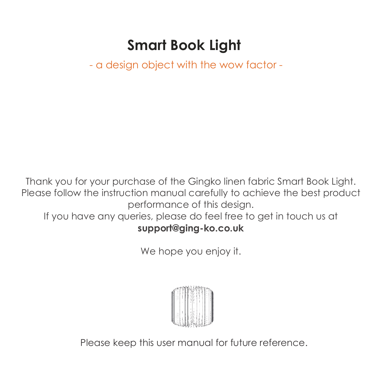## **Smart Book Light**

- a design object with the wow factor -

Thank you for your purchase of the Gingko linen fabric Smart Book Light. Please follow the instruction manual carefully to achieve the best product performance of this design. If you have any queries, please do feel free to get in touch us at

### **support@ging-ko.co.uk**

We hope you enjoy it.



Please keep this user manual for future reference.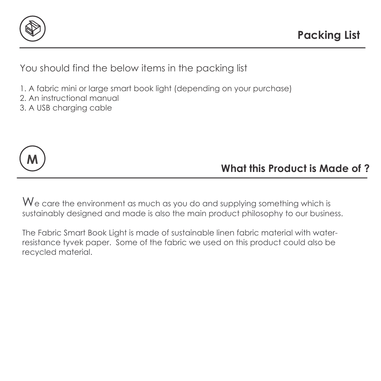

You should find the below items in the packing list

- 1. A fabric mini or large smart book light (depending on your purchase)
- 2. An instructional manual
- 3. A USB charging cable



**What this Product is Made of ?**

We care the environment as much as you do and supplying something which is sustainably designed and made is also the main product philosophy to our business.

The Fabric Smart Book Light is made of sustainable linen fabric material with waterresistance tyvek paper. Some of the fabric we used on this product could also be recycled material.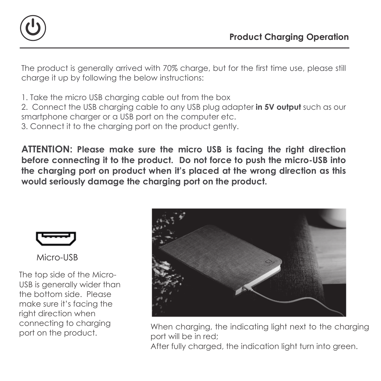

The product is generally arrived with 70% charge, but for the first time use, please still charge it up by following the below instructions:

1. Take the micro USB charging cable out from the box

2. Connect the USB charging cable to any USB plug adapter **in 5V output** such as our smartphone charger or a USB port on the computer etc.

3. Connect it to the charging port on the product gently.

**ATTENTION: Please make sure the micro USB is facing the right direction before connecting it to the product. Do not force to push the micro-USB into the charging port on product when it's placed at the wrong direction as this would seriously damage the charging port on the product.**



Micro-USB

The top side of the Micro-USB is generally wider than the bottom side. Please make sure it's facing the right direction when connecting to charging port on the product.



When charging, the indicating light next to the charging port will be in red;

After fully charaed, the indication light turn into green.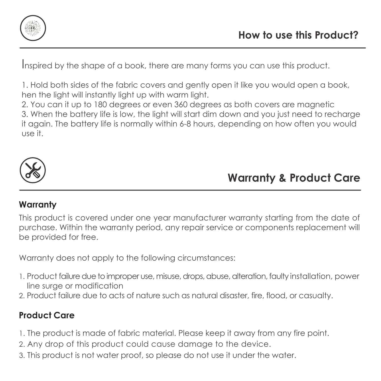

Inspired by the shape of a book, there are many forms you can use this product.

1. Hold both sides of the fabric covers and gently open it like you would open a book, hen the light will instantly light up with warm light.

2. You can it up to 180 degrees or even 360 degrees as both covers are magnetic 3. When the battery life is low, the light will start dim down and you just need to recharge it again. The battery life is normally within 6-8 hours, depending on how often you would use it.



### **Warranty & Product Care**

#### **Warranty**

This product is covered under one year manufacturer warranty starting from the date of purchase. Within the warranty period, any repair service or components replacement will be provided for free.

Warranty does not apply to the following circumstances:

- 1. Product failure due to improper use, misuse, drops, abuse, alteration, faulty installation, power line surge or modification
- 2. Product failure due to acts of nature such as natural disaster, fire, flood, or casualty.

#### **Product Care**

- 1. The product is made of fabric material. Please keep it away from any fire point.
- 2. Any drop of this product could cause damage to the device.
- 3. This product is not water proof, so please do not use it under the water.